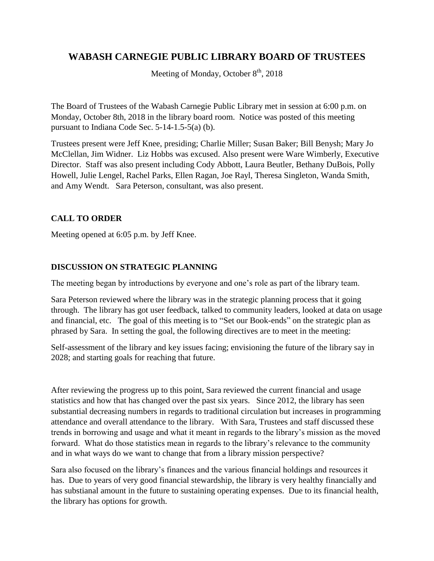## **WABASH CARNEGIE PUBLIC LIBRARY BOARD OF TRUSTEES**

Meeting of Monday, October  $8<sup>th</sup>$ , 2018

The Board of Trustees of the Wabash Carnegie Public Library met in session at 6:00 p.m. on Monday, October 8th, 2018 in the library board room. Notice was posted of this meeting pursuant to Indiana Code Sec. 5-14-1.5-5(a) (b).

Trustees present were Jeff Knee, presiding; Charlie Miller; Susan Baker; Bill Benysh; Mary Jo McClellan, Jim Widner. Liz Hobbs was excused. Also present were Ware Wimberly, Executive Director. Staff was also present including Cody Abbott, Laura Beutler, Bethany DuBois, Polly Howell, Julie Lengel, Rachel Parks, Ellen Ragan, Joe Rayl, Theresa Singleton, Wanda Smith, and Amy Wendt. Sara Peterson, consultant, was also present.

## **CALL TO ORDER**

Meeting opened at 6:05 p.m. by Jeff Knee.

## **DISCUSSION ON STRATEGIC PLANNING**

The meeting began by introductions by everyone and one's role as part of the library team.

Sara Peterson reviewed where the library was in the strategic planning process that it going through. The library has got user feedback, talked to community leaders, looked at data on usage and financial, etc. The goal of this meeting is to "Set our Book-ends" on the strategic plan as phrased by Sara. In setting the goal, the following directives are to meet in the meeting:

Self-assessment of the library and key issues facing; envisioning the future of the library say in 2028; and starting goals for reaching that future.

After reviewing the progress up to this point, Sara reviewed the current financial and usage statistics and how that has changed over the past six years. Since 2012, the library has seen substantial decreasing numbers in regards to traditional circulation but increases in programming attendance and overall attendance to the library. With Sara, Trustees and staff discussed these trends in borrowing and usage and what it meant in regards to the library's mission as the moved forward. What do those statistics mean in regards to the library's relevance to the community and in what ways do we want to change that from a library mission perspective?

Sara also focused on the library's finances and the various financial holdings and resources it has. Due to years of very good financial stewardship, the library is very healthy financially and has substianal amount in the future to sustaining operating expenses. Due to its financial health, the library has options for growth.